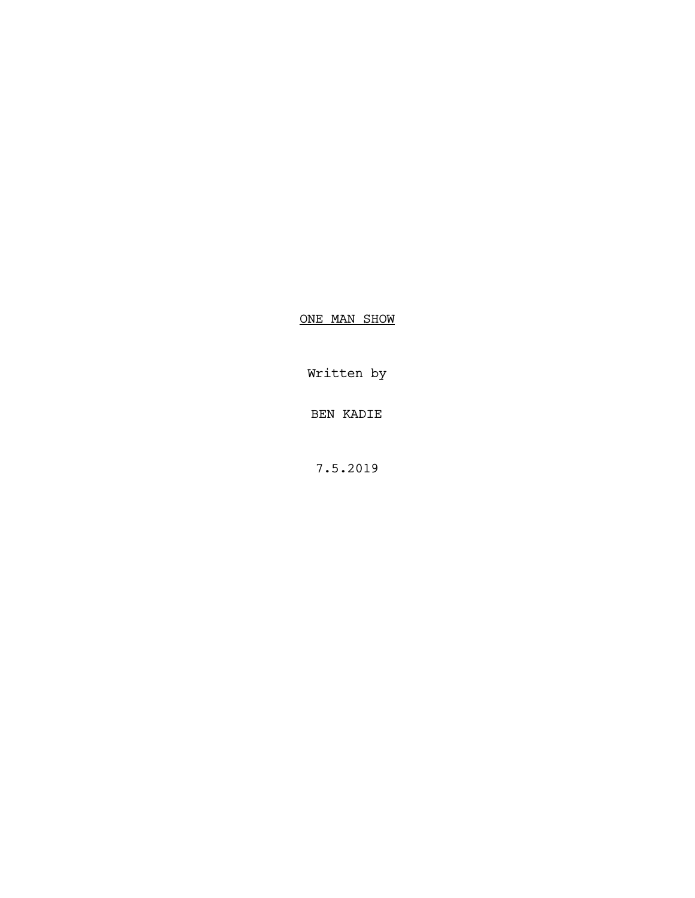ONE MAN SHOW

Written by

BEN KADIE

7.5.2019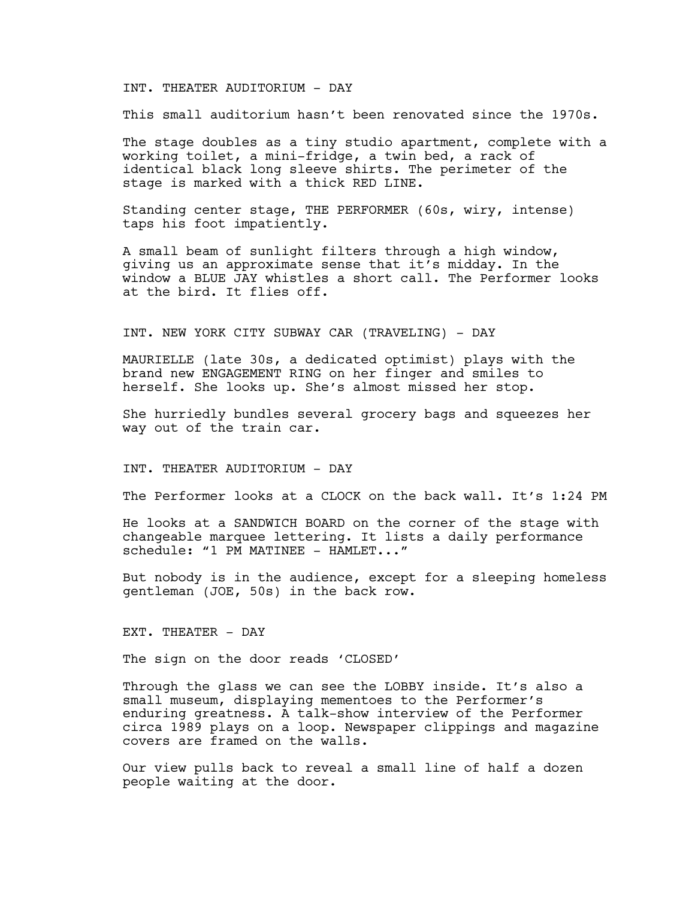## INT. THEATER AUDITORIUM - DAY

This small auditorium hasn't been renovated since the 1970s.

The stage doubles as a tiny studio apartment, complete with a working toilet, a mini-fridge, a twin bed, a rack of identical black long sleeve shirts. The perimeter of the stage is marked with a thick RED LINE.

Standing center stage, THE PERFORMER (60s, wiry, intense) taps his foot impatiently.

A small beam of sunlight filters through a high window, giving us an approximate sense that it's midday. In the window a BLUE JAY whistles a short call. The Performer looks at the bird. It flies off.

## INT. NEW YORK CITY SUBWAY CAR (TRAVELING) - DAY

MAURIELLE (late 30s, a dedicated optimist) plays with the brand new ENGAGEMENT RING on her finger and smiles to herself. She looks up. She's almost missed her stop.

She hurriedly bundles several grocery bags and squeezes her way out of the train car.

INT. THEATER AUDITORIUM - DAY

The Performer looks at a CLOCK on the back wall. It's 1:24 PM

He looks at a SANDWICH BOARD on the corner of the stage with changeable marquee lettering. It lists a daily performance schedule: "1 PM MATINEE - HAMLET..."

But nobody is in the audience, except for a sleeping homeless gentleman (JOE, 50s) in the back row.

#### EXT. THEATER - DAY

The sign on the door reads 'CLOSED'

Through the glass we can see the LOBBY inside. It's also a small museum, displaying mementoes to the Performer's enduring greatness. A talk-show interview of the Performer circa 1989 plays on a loop. Newspaper clippings and magazine covers are framed on the walls.

Our view pulls back to reveal a small line of half a dozen people waiting at the door.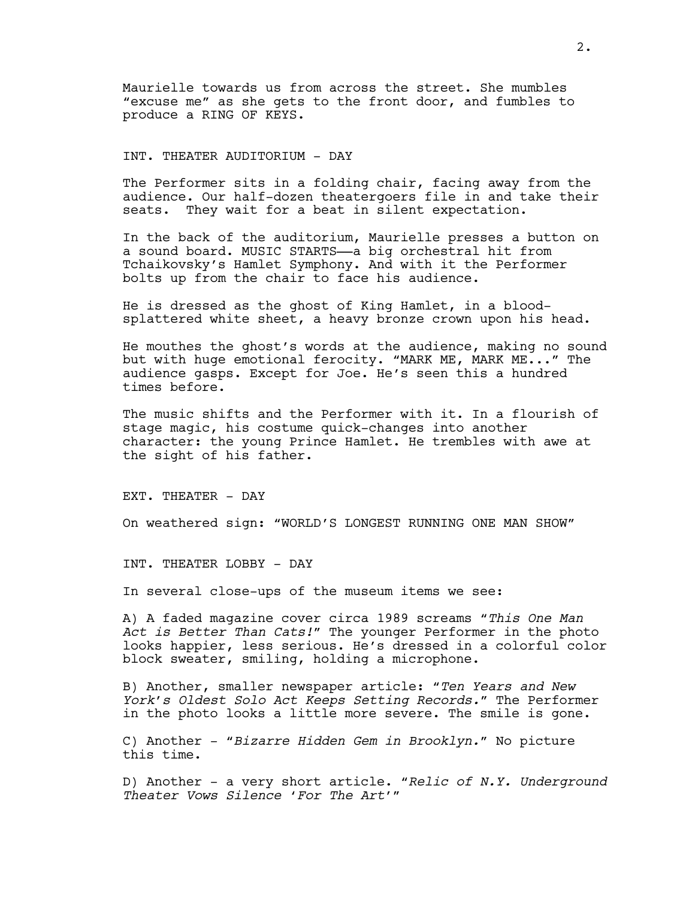Maurielle towards us from across the street. She mumbles "excuse me" as she gets to the front door, and fumbles to produce a RING OF KEYS.

# INT. THEATER AUDITORIUM - DAY

The Performer sits in a folding chair, facing away from the audience. Our half-dozen theatergoers file in and take their seats. They wait for a beat in silent expectation.

In the back of the auditorium, Maurielle presses a button on a sound board. MUSIC STARTS-a big orchestral hit from Tchaikovsky's Hamlet Symphony. And with it the Performer bolts up from the chair to face his audience.

He is dressed as the ghost of King Hamlet, in a bloodsplattered white sheet, a heavy bronze crown upon his head.

He mouthes the ghost's words at the audience, making no sound but with huge emotional ferocity. "MARK ME, MARK ME..." The audience gasps. Except for Joe. He's seen this a hundred times before.

The music shifts and the Performer with it. In a flourish of stage magic, his costume quick-changes into another character: the young Prince Hamlet. He trembles with awe at the sight of his father.

EXT. THEATER - DAY

On weathered sign: "WORLD'S LONGEST RUNNING ONE MAN SHOW"

INT. THEATER LOBBY - DAY

In several close-ups of the museum items we see:

A) A faded magazine cover circa 1989 screams *"This One Man Act is Better Than Cats!"* The younger Performer in the photo looks happier, less serious. He's dressed in a colorful color block sweater, smiling, holding a microphone.

B) Another, smaller newspaper article: *"Ten Years and New York's Oldest Solo Act Keeps Setting Records."* The Performer in the photo looks a little more severe. The smile is gone.

C) Another - *"Bizarre Hidden Gem in Brooklyn."* No picture this time.

D) Another - a very short article. *"Relic of N.Y. Underground Theater Vows Silence 'For The Art'"*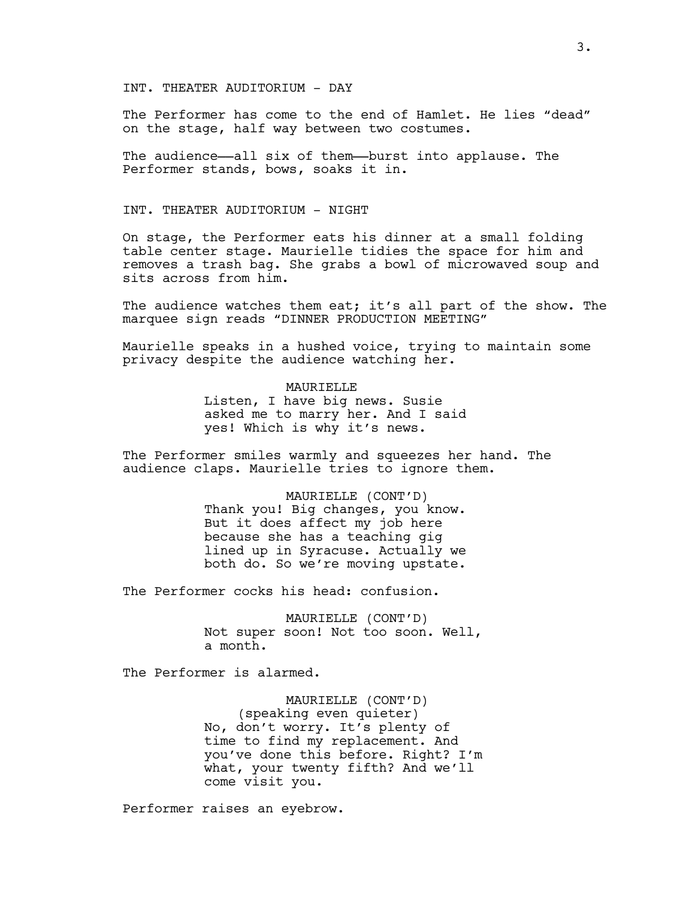INT. THEATER AUDITORIUM - DAY

The Performer has come to the end of Hamlet. He lies "dead" on the stage, half way between two costumes.

The audience—all six of them—burst into applause. The Performer stands, bows, soaks it in.

# INT. THEATER AUDITORIUM - NIGHT

On stage, the Performer eats his dinner at a small folding table center stage. Maurielle tidies the space for him and removes a trash bag. She grabs a bowl of microwaved soup and sits across from him.

The audience watches them eat; it's all part of the show. The marquee sign reads "DINNER PRODUCTION MEETING"

Maurielle speaks in a hushed voice, trying to maintain some privacy despite the audience watching her.

# **MAURIELLE**

Listen, I have big news. Susie asked me to marry her. And I said yes! Which is why it's news.

The Performer smiles warmly and squeezes her hand. The audience claps. Maurielle tries to ignore them.

> MAURIELLE (CONT'D) Thank you! Big changes, you know. But it does affect my job here because she has a teaching gig lined up in Syracuse. Actually we both do. So we're moving upstate.

The Performer cocks his head: confusion.

MAURIELLE (CONT'D) Not super soon! Not too soon. Well, a month.

The Performer is alarmed.

MAURIELLE (CONT'D) (speaking even quieter) No, don't worry. It's plenty of time to find my replacement. And you've done this before. Right? I'm what, your twenty fifth? And we'll come visit you.

Performer raises an eyebrow.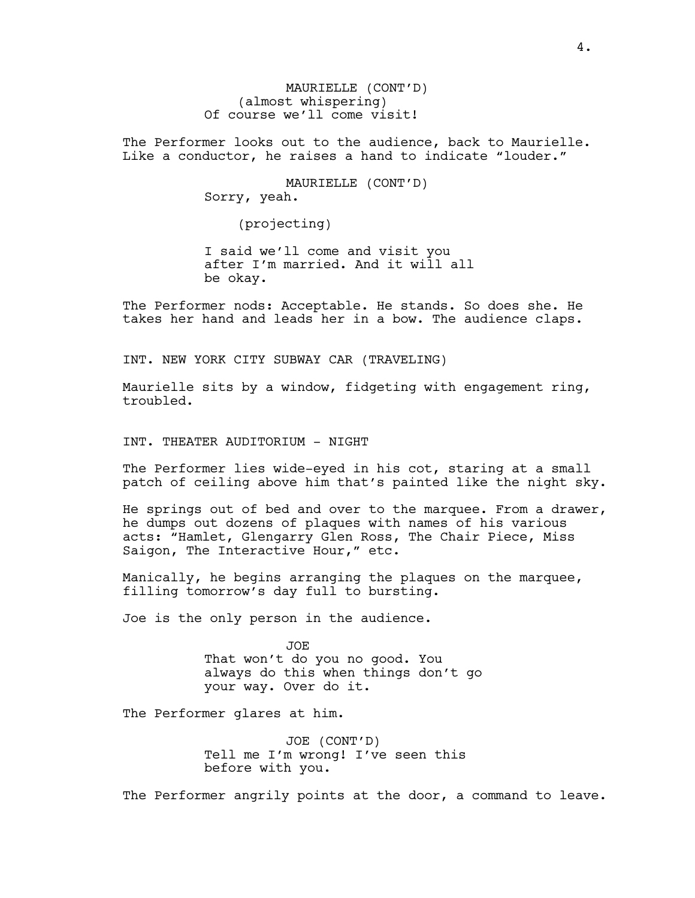MAURIELLE (CONT'D) (almost whispering) Of course we'll come visit!

The Performer looks out to the audience, back to Maurielle. Like a conductor, he raises a hand to indicate "louder."

> MAURIELLE (CONT'D) Sorry, yeah.

> > (projecting)

I said we'll come and visit you after I'm married. And it will all be okay.

The Performer nods: Acceptable. He stands. So does she. He takes her hand and leads her in a bow. The audience claps.

INT. NEW YORK CITY SUBWAY CAR (TRAVELING)

Maurielle sits by a window, fidgeting with engagement ring, troubled.

INT. THEATER AUDITORIUM - NIGHT

The Performer lies wide-eyed in his cot, staring at a small patch of ceiling above him that's painted like the night sky.

He springs out of bed and over to the marquee. From a drawer, he dumps out dozens of plaques with names of his various acts: "Hamlet, Glengarry Glen Ross, The Chair Piece, Miss Saigon, The Interactive Hour," etc.

Manically, he begins arranging the plaques on the marquee, filling tomorrow's day full to bursting.

Joe is the only person in the audience.

JOE That won't do you no good. You always do this when things don't go your way. Over do it.

The Performer glares at him.

JOE (CONT'D) Tell me I'm wrong! I've seen this before with you.

The Performer angrily points at the door, a command to leave.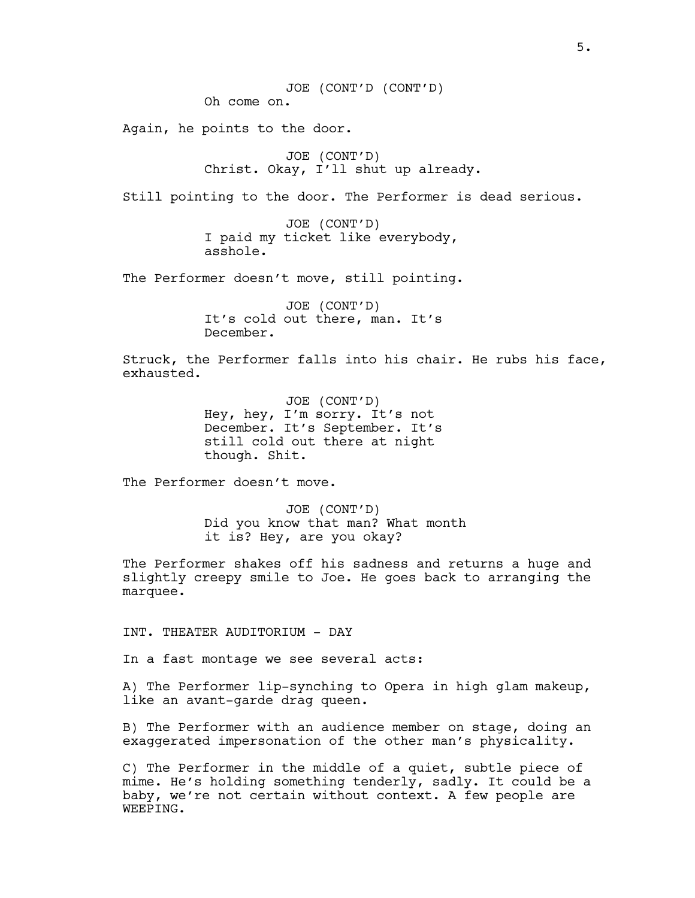Again, he points to the door.

JOE (CONT'D) Christ. Okay, I'll shut up already.

Still pointing to the door. The Performer is dead serious.

JOE (CONT'D) I paid my ticket like everybody, asshole.

The Performer doesn't move, still pointing.

JOE (CONT'D) It's cold out there, man. It's December.

Struck, the Performer falls into his chair. He rubs his face, exhausted.

> JOE (CONT'D) Hey, hey, I'm sorry. It's not December. It's September. It's still cold out there at night though. Shit.

The Performer doesn't move.

JOE (CONT'D) Did you know that man? What month it is? Hey, are you okay?

The Performer shakes off his sadness and returns a huge and slightly creepy smile to Joe. He goes back to arranging the marquee.

INT. THEATER AUDITORIUM - DAY

In a fast montage we see several acts:

A) The Performer lip-synching to Opera in high glam makeup, like an avant-garde drag queen.

B) The Performer with an audience member on stage, doing an exaggerated impersonation of the other man's physicality.

C) The Performer in the middle of a quiet, subtle piece of mime. He's holding something tenderly, sadly. It could be a baby, we're not certain without context. A few people are WEEPING.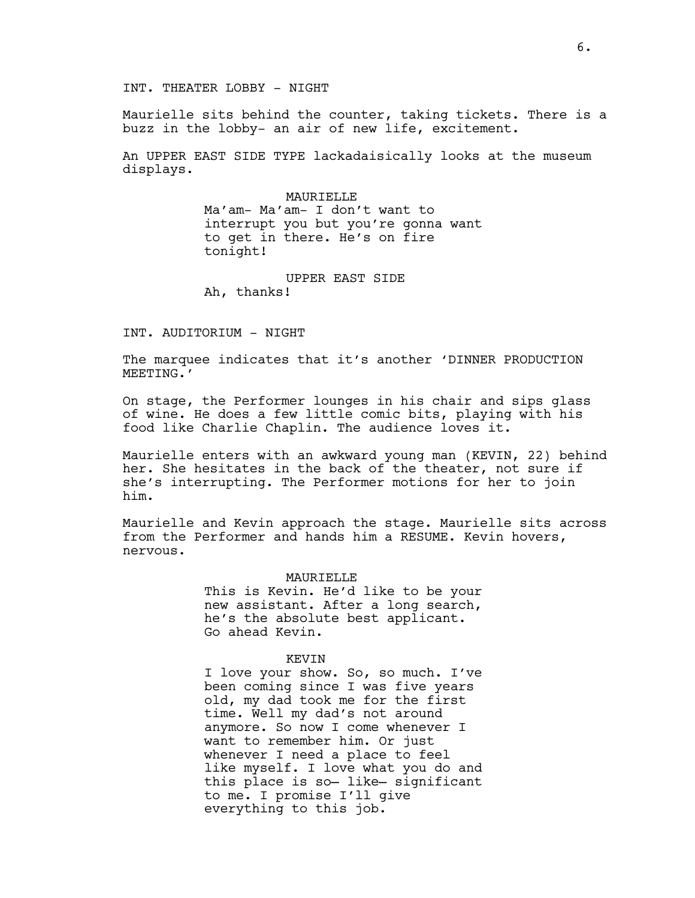INT. THEATER LOBBY - NIGHT

Maurielle sits behind the counter, taking tickets. There is a buzz in the lobby- an air of new life, excitement.

An UPPER EAST SIDE TYPE lackadaisically looks at the museum displays.

> MAURIELLE Ma'am- Ma'am- I don't want to interrupt you but you're gonna want to get in there. He's on fire tonight!

UPPER EAST SIDE Ah, thanks!

### INT. AUDITORIUM - NIGHT

The marquee indicates that it's another 'DINNER PRODUCTION MEETING.'

On stage, the Performer lounges in his chair and sips glass of wine. He does a few little comic bits, playing with his food like Charlie Chaplin. The audience loves it.

Maurielle enters with an awkward young man (KEVIN, 22) behind her. She hesitates in the back of the theater, not sure if she's interrupting. The Performer motions for her to join him.

Maurielle and Kevin approach the stage. Maurielle sits across from the Performer and hands him a RESUME. Kevin hovers, nervous.

#### MAURIELLE

This is Kevin. He'd like to be your new assistant. After a long search, he's the absolute best applicant. Go ahead Kevin.

## KEVIN

I love your show. So, so much. I've been coming since I was five years old, my dad took me for the first time. Well my dad's not around anymore. So now I come whenever I want to remember him. Or just whenever I need a place to feel like myself. I love what you do and this place is so— like— significant to me. I promise I'll give everything to this job.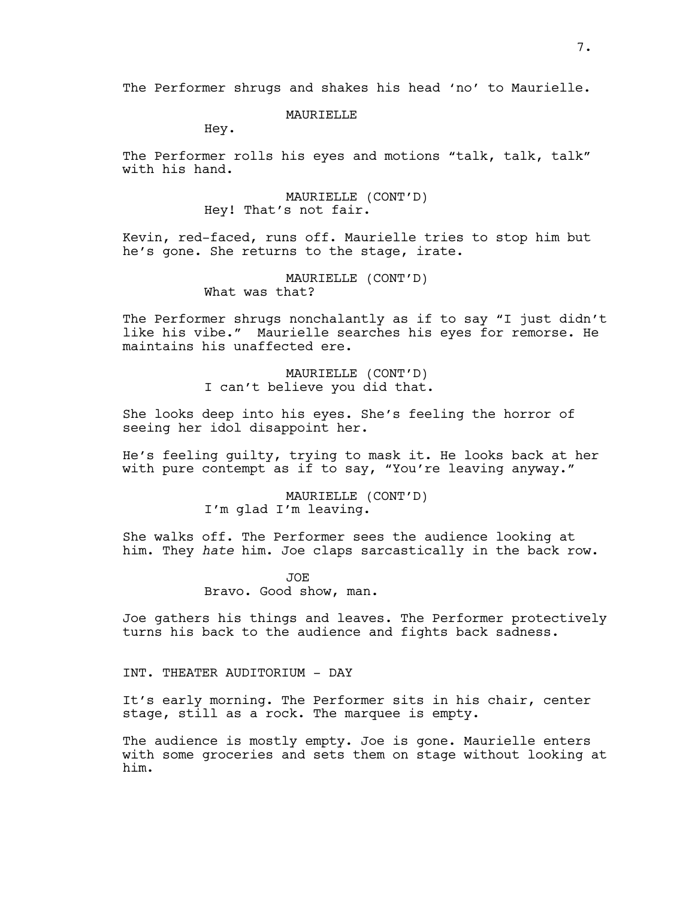## **MAURIELLE**

Hey.

The Performer rolls his eyes and motions "talk, talk, talk" with his hand.

> MAURIELLE (CONT'D) Hey! That's not fair.

Kevin, red-faced, runs off. Maurielle tries to stop him but he's gone. She returns to the stage, irate.

> MAURIELLE (CONT'D) What was that?

The Performer shrugs nonchalantly as if to say "I just didn't like his vibe." Maurielle searches his eyes for remorse. He maintains his unaffected ere.

> MAURIELLE (CONT'D) I can't believe you did that.

She looks deep into his eyes. She's feeling the horror of seeing her idol disappoint her.

He's feeling guilty, trying to mask it. He looks back at her with pure contempt as if to say, "You're leaving anyway."

> MAURIELLE (CONT'D) I'm glad I'm leaving.

She walks off. The Performer sees the audience looking at him. They *hate* him. Joe claps sarcastically in the back row.

> JOE Bravo. Good show, man.

Joe gathers his things and leaves. The Performer protectively turns his back to the audience and fights back sadness.

INT. THEATER AUDITORIUM - DAY

It's early morning. The Performer sits in his chair, center stage, still as a rock. The marquee is empty.

The audience is mostly empty. Joe is gone. Maurielle enters with some groceries and sets them on stage without looking at him.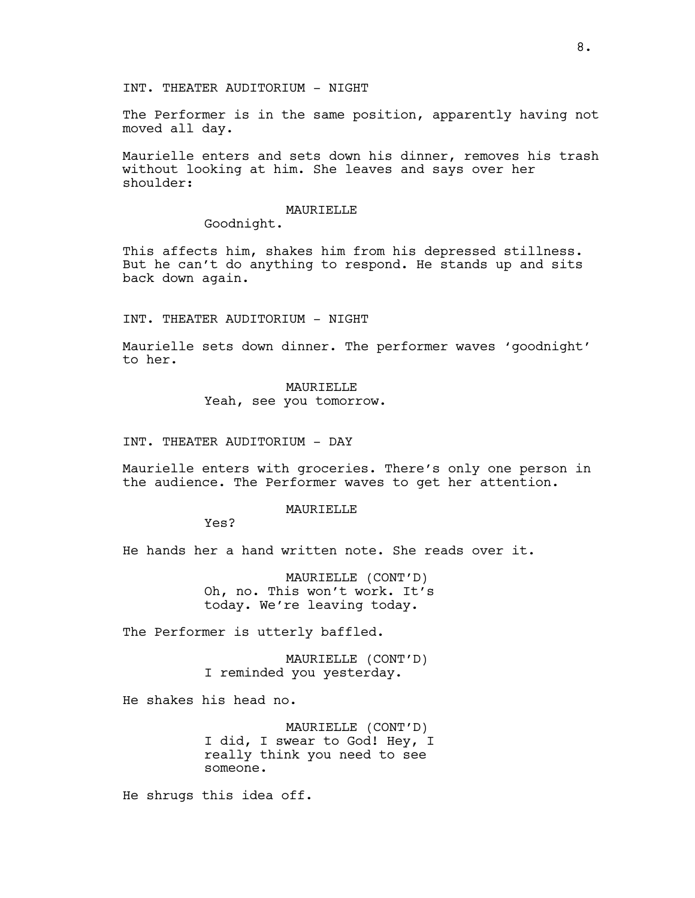INT. THEATER AUDITORIUM - NIGHT

The Performer is in the same position, apparently having not moved all day.

Maurielle enters and sets down his dinner, removes his trash without looking at him. She leaves and says over her shoulder:

## MAURIELLE

Goodnight.

This affects him, shakes him from his depressed stillness. But he can't do anything to respond. He stands up and sits back down again.

INT. THEATER AUDITORIUM - NIGHT

Maurielle sets down dinner. The performer waves 'goodnight' to her.

MAURIELLE

Yeah, see you tomorrow.

INT. THEATER AUDITORIUM - DAY

Maurielle enters with groceries. There's only one person in the audience. The Performer waves to get her attention.

## **MAURIELLE**

Yes?

He hands her a hand written note. She reads over it.

MAURIELLE (CONT'D) Oh, no. This won't work. It's today. We're leaving today.

The Performer is utterly baffled.

MAURIELLE (CONT'D) I reminded you yesterday.

He shakes his head no.

MAURIELLE (CONT'D) I did, I swear to God! Hey, I really think you need to see someone.

He shrugs this idea off.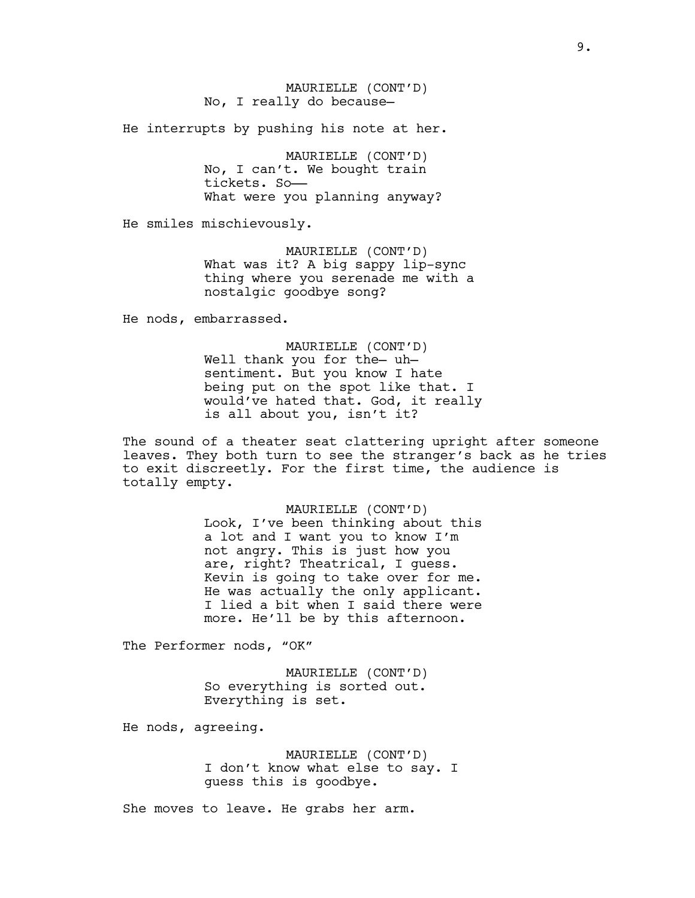MAURIELLE (CONT'D) No, I really do because—

He interrupts by pushing his note at her.

MAURIELLE (CONT'D) No, I can't. We bought train tickets. So—— What were you planning anyway?

He smiles mischievously.

MAURIELLE (CONT'D) What was it? A big sappy lip-sync thing where you serenade me with a nostalgic goodbye song?

He nods, embarrassed.

MAURIELLE (CONT'D) Well thank you for the— uh sentiment. But you know I hate being put on the spot like that. I would've hated that. God, it really is all about you, isn't it?

The sound of a theater seat clattering upright after someone leaves. They both turn to see the stranger's back as he tries to exit discreetly. For the first time, the audience is totally empty.

> MAURIELLE (CONT'D) Look, I've been thinking about this a lot and I want you to know I'm not angry. This is just how you are, right? Theatrical, I guess. Kevin is going to take over for me. He was actually the only applicant. I lied a bit when I said there were more. He'll be by this afternoon.

The Performer nods, "OK"

MAURIELLE (CONT'D) So everything is sorted out. Everything is set.

He nods, agreeing.

MAURIELLE (CONT'D) I don't know what else to say. I guess this is goodbye.

She moves to leave. He grabs her arm.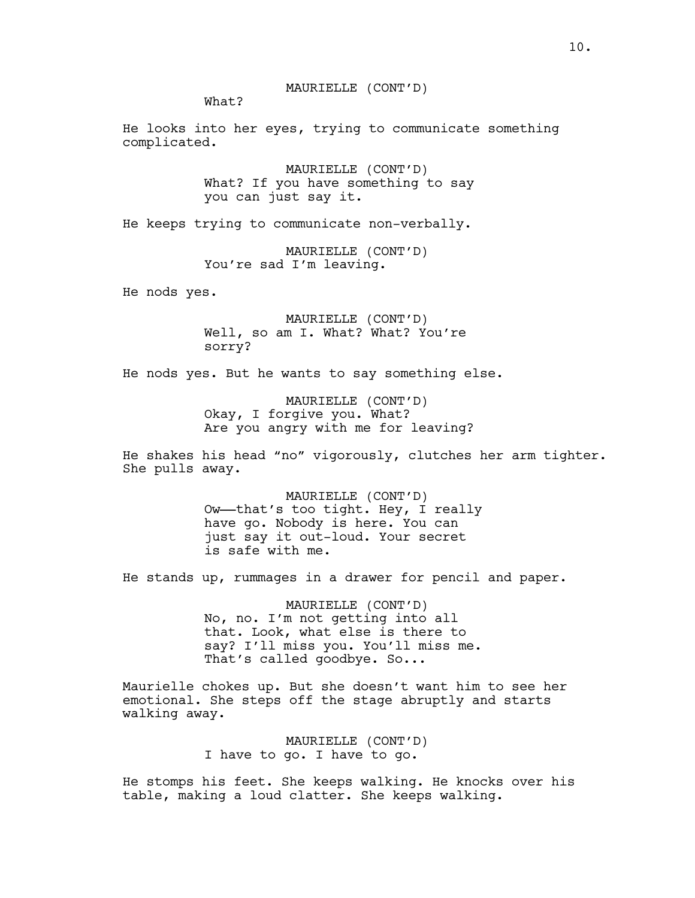What?

He looks into her eyes, trying to communicate something complicated.

> MAURIELLE (CONT'D) What? If you have something to say you can just say it.

He keeps trying to communicate non-verbally.

MAURIELLE (CONT'D) You're sad I'm leaving.

He nods yes.

MAURIELLE (CONT'D) Well, so am I. What? What? You're sorry?

He nods yes. But he wants to say something else.

MAURIELLE (CONT'D) Okay, I forgive you. What? Are you angry with me for leaving?

He shakes his head "no" vigorously, clutches her arm tighter. She pulls away.

> MAURIELLE (CONT'D) Ow——that's too tight. Hey, I really have go. Nobody is here. You can just say it out-loud. Your secret is safe with me.

He stands up, rummages in a drawer for pencil and paper.

MAURIELLE (CONT'D) No, no. I'm not getting into all that. Look, what else is there to say? I'll miss you. You'll miss me. That's called goodbye. So...

Maurielle chokes up. But she doesn't want him to see her emotional. She steps off the stage abruptly and starts walking away.

> MAURIELLE (CONT'D) I have to go. I have to go.

He stomps his feet. She keeps walking. He knocks over his table, making a loud clatter. She keeps walking.